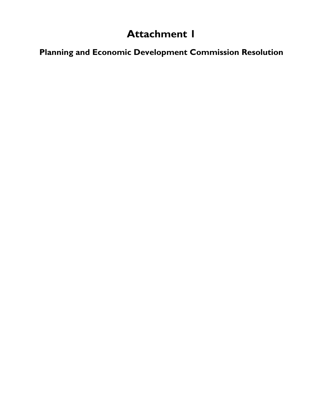# **Attachment 1**

**Planning and Economic Development Commission Resolution**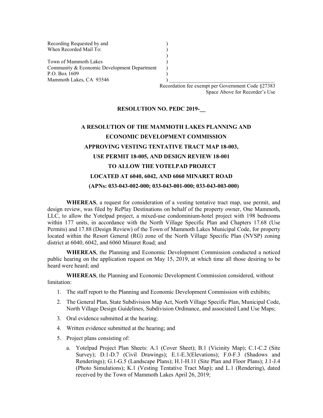Recording Requested by and () When Recorded Mail To:

Town of Mammoth Lakes (1988) Community & Economic Development Department ) P.O. Box 1609 ) Mammoth Lakes, CA 93546

> Recordation fee exempt per Government Code §27383 Space Above for Recorder's Use

#### **RESOLUTION NO. PEDC 2019-\_\_**

)

# **A RESOLUTION OF THE MAMMOTH LAKES PLANNING AND ECONOMIC DEVELOPMENT COMMISSION APPROVING VESTING TENTATIVE TRACT MAP 18-003, USE PERMIT 18-005, AND DESIGN REVIEW 18-001 TO ALLOW THE YOTELPAD PROJECT LOCATED AT 6040, 6042, AND 6060 MINARET ROAD (APNs: 033-043-002-000; 033-043-001-000; 033-043-003-000)**

**WHEREAS**, a request for consideration of a vesting tentative tract map, use permit, and design review, was filed by RePlay Destinations on behalf of the property owner, One Mammoth, LLC, to allow the Yotelpad project, a mixed-use condominium-hotel project with 198 bedrooms within 177 units, in accordance with the North Village Specific Plan and Chapters 17.68 (Use Permits) and 17.88 (Design Review) of the Town of Mammoth Lakes Municipal Code, for property located within the Resort General (RG) zone of the North Village Specific Plan (NVSP) zoning district at 6040, 6042, and 6060 Minaret Road; and

**WHEREAS**, the Planning and Economic Development Commission conducted a noticed public hearing on the application request on May 15, 2019, at which time all those desiring to be heard were heard; and

**WHEREAS**, the Planning and Economic Development Commission considered, without limitation:

- 1. The staff report to the Planning and Economic Development Commission with exhibits;
- 2. The General Plan, State Subdivision Map Act, North Village Specific Plan, Municipal Code, North Village Design Guidelines, Subdivision Ordinance, and associated Land Use Maps;
- 3. Oral evidence submitted at the hearing;
- 4. Written evidence submitted at the hearing; and
- 5. Project plans consisting of:
	- a. Yotelpad Project Plan Sheets: A.1 (Cover Sheet); B.1 (Vicinity Map); C.1-C.2 (Site Survey); D.1-D.7 (Civil Drawings); E.1-E.3(Elevations); F.0-F.3 (Shadows and Renderings); G.1-G.5 (Landscape Plans); H.1-H.11 (Site Plan and Floor Plans); J.1-J.4 (Photo Simulations); K.1 (Vesting Tentative Tract Map); and L.1 (Rendering), dated received by the Town of Mammoth Lakes April 26, 2019;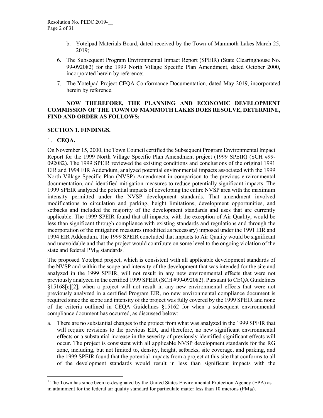- b. Yotelpad Materials Board, dated received by the Town of Mammoth Lakes March 25, 2019;
- 6. The Subsequent Program Environmental Impact Report (SPEIR) (State Clearinghouse No. 99-092082) for the 1999 North Village Specific Plan Amendment, dated October 2000, incorporated herein by reference;
- 7. The Yotelpad Project CEQA Conformance Documentation, dated May 2019, incorporated herein by reference.

#### **NOW THEREFORE, THE PLANNING AND ECONOMIC DEVELOPMENT COMMISSION OF THE TOWN OF MAMMOTH LAKES DOES RESOLVE, DETERMINE, FIND AND ORDER AS FOLLOWS:**

#### **SECTION 1. FINDINGS.**

#### 1. **CEQA.**

On November 15, 2000, the Town Council certified the Subsequent Program Environmental Impact Report for the 1999 North Village Specific Plan Amendment project (1999 SPEIR) (SCH #99- 092082). The 1999 SPEIR reviewed the existing conditions and conclusions of the original 1991 EIR and 1994 EIR Addendum, analyzed potential environmental impacts associated with the 1999 North Village Specific Plan (NVSP) Amendment in comparison to the previous environmental documentation, and identified mitigation measures to reduce potentially significant impacts. The 1999 SPEIR analyzed the potential impacts of developing the entire NVSP area with the maximum intensity permitted under the NVSP development standards. That amendment involved modifications to circulation and parking, height limitations, development opportunities, and setbacks and included the majority of the development standards and uses that are currently applicable. The 1999 SPEIR found that all impacts, with the exception of Air Quality, would be less than significant through compliance with existing standards and regulations and through the incorporation of the mitigation measures (modified as necessary) imposed under the 1991 EIR and 1994 EIR Addendum. The 1999 SPEIR concluded that impacts to Air Quality would be significant and unavoidable and that the project would contribute on some level to the ongoing violation of the state and federal  $PM_{10}$  $PM_{10}$  $PM_{10}$  standards.<sup>1</sup>

The proposed Yotelpad project, which is consistent with all applicable development standards of the NVSP and within the scope and intensity of the development that was intended for the site and analyzed in the 1999 SPEIR, will not result in any new environmental effects that were not previously analyzed in the certified 1999 SPEIR (SCH #99-092082). Pursuant to CEQA Guidelines §15168[c][2], when a project will not result in any new environmental effects that were not previously analyzed in a certified Program EIR, no new environmental compliance document is required since the scope and intensity of the project was fully covered by the 1999 SPEIR and none of the criteria outlined in CEQA Guidelines §15162 for when a subsequent environmental compliance document has occurred, as discussed below:

a. There are no substantial changes to the project from what was analyzed in the 1999 SPEIR that will require revisions to the previous EIR, and therefore, no new significant environmental effects or a substantial increase in the severity of previously identified significant effects will occur. The project is consistent with all applicable NVSP development standards for the RG zone, including, but not limited to, density, height, setbacks, site coverage, and parking, and the 1999 SPEIR found that the potential impacts from a project at this site that conforms to all of the development standards would result in less than significant impacts with the

<span id="page-2-0"></span> $<sup>1</sup>$  The Town has since been re-designated by the United States Environmental Protection Agency (EPA) as</sup> in attainment for the federal air quality standard for particulate matter less than 10 microns ( $PM_{10}$ ).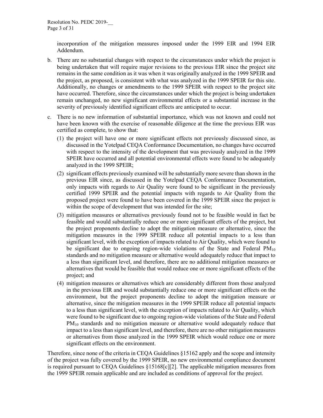incorporation of the mitigation measures imposed under the 1999 EIR and 1994 EIR Addendum.

- b. There are no substantial changes with respect to the circumstances under which the project is being undertaken that will require major revisions to the previous EIR since the project site remains in the same condition as it was when it was originally analyzed in the 1999 SPEIR and the project, as proposed, is consistent with what was analyzed in the 1999 SPEIR for this site. Additionally, no changes or amendments to the 1999 SPEIR with respect to the project site have occurred. Therefore, since the circumstances under which the project is being undertaken remain unchanged, no new significant environmental effects or a substantial increase in the severity of previously identified significant effects are anticipated to occur.
- c. There is no new information of substantial importance, which was not known and could not have been known with the exercise of reasonable diligence at the time the previous EIR was certified as complete, to show that:
	- (1) the project will have one or more significant effects not previously discussed since, as discussed in the Yotelpad CEQA Conformance Documentation, no changes have occurred with respect to the intensity of the development that was previously analyzed in the 1999 SPEIR have occurred and all potential environmental effects were found to be adequately analyzed in the 1999 SPEIR;
	- (2) significant effects previously examined will be substantially more severe than shown in the previous EIR since, as discussed in the Yotelpad CEQA Conformance Documentation, only impacts with regards to Air Quality were found to be significant in the previously certified 1999 SPEIR and the potential impacts with regards to Air Quality from the proposed project were found to have been covered in the 1999 SPEIR since the project is within the scope of development that was intended for the site;
	- (3) mitigation measures or alternatives previously found not to be feasible would in fact be feasible and would substantially reduce one or more significant effects of the project, but the project proponents decline to adopt the mitigation measure or alternative, since the mitigation measures in the 1999 SPEIR reduce all potential impacts to a less than significant level, with the exception of impacts related to Air Quality, which were found to be significant due to ongoing region-wide violations of the State and Federal  $PM_{10}$ standards and no mitigation measure or alternative would adequately reduce that impact to a less than significant level, and therefore, there are no additional mitigation measures or alternatives that would be feasible that would reduce one or more significant effects of the project; and
	- (4) mitigation measures or alternatives which are considerably different from those analyzed in the previous EIR and would substantially reduce one or more significant effects on the environment, but the project proponents decline to adopt the mitigation measure or alternative, since the mitigation measures in the 1999 SPEIR reduce all potential impacts to a less than significant level, with the exception of impacts related to Air Quality, which were found to be significant due to ongoing region-wide violations of the State and Federal PM<sub>10</sub> standards and no mitigation measure or alternative would adequately reduce that impact to a less than significant level, and therefore, there are no other mitigation measures or alternatives from those analyzed in the 1999 SPEIR which would reduce one or more significant effects on the environment.

Therefore, since none of the criteria in CEQA Guidelines §15162 apply and the scope and intensity of the project was fully covered by the 1999 SPEIR, no new environmental compliance document is required pursuant to CEQA Guidelines §15168[c][2]. The applicable mitigation measures from the 1999 SPEIR remain applicable and are included as conditions of approval for the project.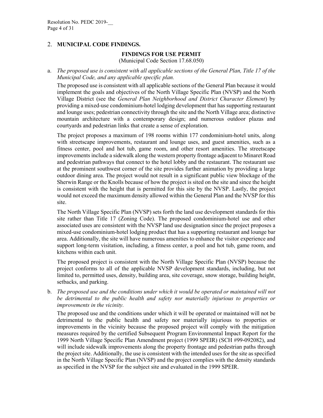#### 2. **MUNICIPAL CODE FINDINGS.**

#### **FINDINGS FOR USE PERMIT**

(Municipal Code Section 17.68.050)

a. *The proposed use is consistent with all applicable sections of the General Plan, Title 17 of the Municipal Code, and any applicable specific plan.* 

The proposed use is consistent with all applicable sections of the General Plan because it would implement the goals and objectives of the North Village Specific Plan (NVSP) and the North Village District (see the *General Plan Neighborhood and District Character Element*) by providing a mixed-use condominium-hotel lodging development that has supporting restaurant and lounge uses; pedestrian connectivity through the site and the North Village area; distinctive mountain architecture with a contemporary design; and numerous outdoor plazas and courtyards and pedestrian links that create a sense of exploration.

The project proposes a maximum of 198 rooms within 177 condominium-hotel units, along with streetscape improvements, restaurant and lounge uses, and guest amenities, such as a fitness center, pool and hot tub, game room, and other resort amenities. The streetscape improvements include a sidewalk along the western property frontage adjacent to Minaret Road and pedestrian pathways that connect to the hotel lobby and the restaurant. The restaurant use at the prominent southwest corner of the site provides further animation by providing a large outdoor dining area. The project would not result in a significant public view blockage of the Sherwin Range or the Knolls because of how the project is sited on the site and since the height is consistent with the height that is permitted for this site by the NVSP. Lastly, the project would not exceed the maximum density allowed within the General Plan and the NVSP for this site.

The North Village Specific Plan (NVSP) sets forth the land use development standards for this site rather than Title 17 (Zoning Code). The proposed condominium-hotel use and other associated uses are consistent with the NVSP land use designation since the project proposes a mixed-use condominium-hotel lodging product that has a supporting restaurant and lounge bar area. Additionally, the site will have numerous amenities to enhance the visitor experience and support long-term visitation, including, a fitness center, a pool and hot tub, game room, and kitchens within each unit.

The proposed project is consistent with the North Village Specific Plan (NVSP) because the project conforms to all of the applicable NVSP development standards, including, but not limited to, permitted uses, density, building area, site coverage, snow storage, building height, setbacks, and parking.

b. *The proposed use and the conditions under which it would be operated or maintained will not be detrimental to the public health and safety nor materially injurious to properties or improvements in the vicinity.*

The proposed use and the conditions under which it will be operated or maintained will not be detrimental to the public health and safety nor materially injurious to properties or improvements in the vicinity because the proposed project will comply with the mitigation measures required by the certified Subsequent Program Environmental Impact Report for the 1999 North Village Specific Plan Amendment project (1999 SPEIR) (SCH #99-092082), and will include sidewalk improvements along the property frontage and pedestrian paths through the project site. Additionally, the use is consistent with the intended uses for the site as specified in the North Village Specific Plan (NVSP) and the project complies with the density standards as specified in the NVSP for the subject site and evaluated in the 1999 SPEIR.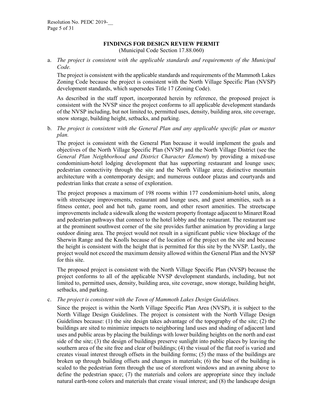#### **FINDINGS FOR DESIGN REVIEW PERMIT**

(Municipal Code Section 17.88.060)

a. *The project is consistent with the applicable standards and requirements of the Municipal Code.* 

The project is consistent with the applicable standards and requirements of the Mammoth Lakes Zoning Code because the project is consistent with the North Village Specific Plan (NVSP) development standards, which supersedes Title 17 (Zoning Code).

As described in the staff report, incorporated herein by reference, the proposed project is consistent with the NVSP since the project conforms to all applicable development standards of the NVSP including, but not limited to, permitted uses, density, building area, site coverage, snow storage, building height, setbacks, and parking.

b. *The project is consistent with the General Plan and any applicable specific plan or master plan.*

The project is consistent with the General Plan because it would implement the goals and objectives of the North Village Specific Plan (NVSP) and the North Village District (see the *General Plan Neighborhood and District Character Element*) by providing a mixed-use condominium-hotel lodging development that has supporting restaurant and lounge uses; pedestrian connectivity through the site and the North Village area; distinctive mountain architecture with a contemporary design; and numerous outdoor plazas and courtyards and pedestrian links that create a sense of exploration.

The project proposes a maximum of 198 rooms within 177 condominium-hotel units, along with streetscape improvements, restaurant and lounge uses, and guest amenities, such as a fitness center, pool and hot tub, game room, and other resort amenities. The streetscape improvements include a sidewalk along the western property frontage adjacent to Minaret Road and pedestrian pathways that connect to the hotel lobby and the restaurant. The restaurant use at the prominent southwest corner of the site provides further animation by providing a large outdoor dining area. The project would not result in a significant public view blockage of the Sherwin Range and the Knolls because of the location of the project on the site and because the height is consistent with the height that is permitted for this site by the NVSP. Lastly, the project would not exceed the maximum density allowed within the General Plan and the NVSP for this site.

The proposed project is consistent with the North Village Specific Plan (NVSP) because the project conforms to all of the applicable NVSP development standards, including, but not limited to, permitted uses, density, building area, site coverage, snow storage, building height, setbacks, and parking.

c. *The project is consistent with the Town of Mammoth Lakes Design Guidelines.* 

Since the project is within the North Village Specific Plan Area (NVSP), it is subject to the North Village Design Guidelines. The project is consistent with the North Village Design Guidelines because: (1) the site design takes advantage of the topography of the site; (2) the buildings are sited to minimize impacts to neighboring land uses and shading of adjacent land uses and public areas by placing the buildings with lower building heights on the north and east side of the site; (3) the design of buildings preserve sunlight into public places by leaving the southern area of the site free and clear of buildings; (4) the visual of the flat roof is varied and creates visual interest through offsets in the building forms; (5) the mass of the buildings are broken up through building offsets and changes in materials; (6) the base of the building is scaled to the pedestrian form through the use of storefront windows and an awning above to define the pedestrian space; (7) the materials and colors are appropriate since they include natural earth-tone colors and materials that create visual interest; and (8) the landscape design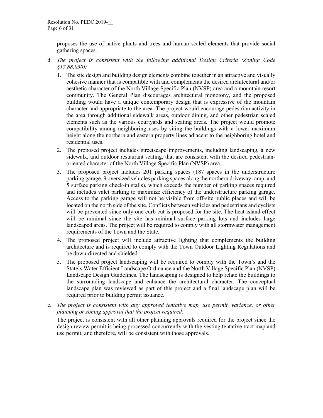proposes the use of native plants and trees and human scaled elements that provide social gathering spaces.

- d. *The project is consistent with the following additional Design Criteria (Zoning Code §17.88.050):*
	- 1. The site design and building design elements combine together in an attractive and visually cohesive manner that is compatible with and complements the desired architectural and/or aesthetic character of the North Village Specific Plan (NVSP) area and a mountain resort community. The General Plan discourages architectural monotony, and the proposed building would have a unique contemporary design that is expressive of the mountain character and appropriate to the area. The project would encourage pedestrian activity in the area through additional sidewalk areas, outdoor dining, and other pedestrian scaled elements such as the various courtyards and seating areas. The project would promote compatibility among neighboring uses by siting the buildings with a lower maximum height along the northern and eastern property lines adjacent to the neighboring hotel and residential uses.
	- 2. The proposed project includes streetscape improvements, including landscaping, a new sidewalk, and outdoor restaurant seating, that are consistent with the desired pedestrianoriented character of the North Village Specific Plan (NVSP) area.
	- 3. The proposed project includes 201 parking spaces (187 spaces in the understructure parking garage, 9 oversized vehicles parking spaces along the northern driveway ramp, and 5 surface parking check-in stalls), which exceeds the number of parking spaces required and includes valet parking to maximize efficiency of the understructure parking garage. Access to the parking garage will not be visible from off-site public places and will be located on the north side of the site. Conflicts between vehicles and pedestrians and cyclists will be prevented since only one curb cut is proposed for the site. The heat-island effect will be minimal since the site has minimal surface parking lots and includes large landscaped areas. The project will be required to comply with all stormwater management requirements of the Town and the State.
	- 4. The proposed project will include attractive lighting that complements the building architecture and is required to comply with the Town Outdoor Lighting Regulations and be down-directed and shielded.
	- 5. The proposed project landscaping will be required to comply with the Town's and the State's Water Efficient Landscape Ordinance and the North Village Specific Plan (NVSP) Landscape Design Guidelines. The landscaping is designed to help relate the buildings to the surrounding landscape and enhance the architectural character. The conceptual landscape plan was reviewed as part of this project and a final landscape plan will be required prior to building permit issuance.
- e. *The project is consistent with any approved tentative map, use permit, variance, or other planning or zoning approval that the project required.*

The project is consistent with all other planning approvals required for the project since the design review permit is being processed concurrently with the vesting tentative tract map and use permit, and therefore, will be consistent with those approvals.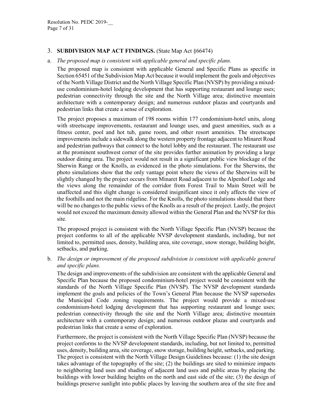#### 3. **SUBDIVISION MAP ACT FINDINGS.** (State Map Act §66474)

a. *The proposed map is consistent with applicable general and specific plans.*

The proposed map is consistent with applicable General and Specific Plans as specific in Section 65451 of the Subdivision Map Act because it would implement the goals and objectives of the North Village District and the North Village Specific Plan (NVSP) by providing a mixeduse condominium-hotel lodging development that has supporting restaurant and lounge uses; pedestrian connectivity through the site and the North Village area; distinctive mountain architecture with a contemporary design; and numerous outdoor plazas and courtyards and pedestrian links that create a sense of exploration.

The project proposes a maximum of 198 rooms within 177 condominium-hotel units, along with streetscape improvements, restaurant and lounge uses, and guest amenities, such as a fitness center, pool and hot tub, game room, and other resort amenities. The streetscape improvements include a sidewalk along the western property frontage adjacent to Minaret Road and pedestrian pathways that connect to the hotel lobby and the restaurant. The restaurant use at the prominent southwest corner of the site provides further animation by providing a large outdoor dining area. The project would not result in a significant public view blockage of the Sherwin Range or the Knolls, as evidenced in the photo simulations. For the Sherwins, the photo simulations show that the only vantage point where the views of the Sherwins will be slightly changed by the project occurs from Minaret Road adjacent to the Alpenhof Lodge and the views along the remainder of the corridor from Forest Trail to Main Street will be unaffected and this slight change is considered insignificant since it only affects the view of the foothills and not the main ridgeline. For the Knolls, the photo simulations should that there will be no changes to the public views of the Knolls as a result of the project. Lastly, the project would not exceed the maximum density allowed within the General Plan and the NVSP for this site.

The proposed project is consistent with the North Village Specific Plan (NVSP) because the project conforms to all of the applicable NVSP development standards, including, but not limited to, permitted uses, density, building area, site coverage, snow storage, building height, setbacks, and parking.

b. *The design or improvement of the proposed subdivision is consistent with applicable general and specific plans.*

The design and improvements of the subdivision are consistent with the applicable General and Specific Plan because the proposed condominium-hotel project would be consistent with the standards of the North Village Specific Plan (NVSP). The NVSP development standards implement the goals and policies of the Town's General Plan because the NVSP supersedes the Municipal Code zoning requirements. The project would provide a mixed-use condominium-hotel lodging development that has supporting restaurant and lounge uses; pedestrian connectivity through the site and the North Village area; distinctive mountain architecture with a contemporary design; and numerous outdoor plazas and courtyards and pedestrian links that create a sense of exploration.

Furthermore, the project is consistent with the North Village Specific Plan (NVSP) because the project conforms to the NVSP development standards, including, but not limited to, permitted uses, density, building area, site coverage, snow storage, building height, setbacks, and parking. The project is consistent with the North Village Design Guidelines because: (1) the site design takes advantage of the topography of the site; (2) the buildings are sited to minimize impacts to neighboring land uses and shading of adjacent land uses and public areas by placing the buildings with lower building heights on the north and east side of the site; (3) the design of buildings preserve sunlight into public places by leaving the southern area of the site free and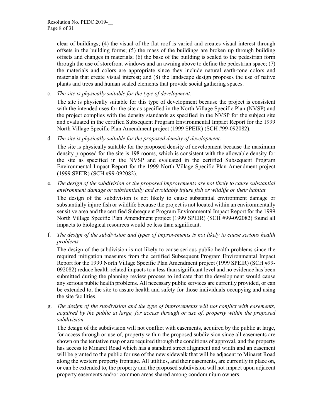clear of buildings; (4) the visual of the flat roof is varied and creates visual interest through offsets in the building forms; (5) the mass of the buildings are broken up through building offsets and changes in materials; (6) the base of the building is scaled to the pedestrian form through the use of storefront windows and an awning above to define the pedestrian space; (7) the materials and colors are appropriate since they include natural earth-tone colors and materials that create visual interest; and (8) the landscape design proposes the use of native plants and trees and human scaled elements that provide social gathering spaces.

c. *The site is physically suitable for the type of development.*

The site is physically suitable for this type of development because the project is consistent with the intended uses for the site as specified in the North Village Specific Plan (NVSP) and the project complies with the density standards as specified in the NVSP for the subject site and evaluated in the certified Subsequent Program Environmental Impact Report for the 1999 North Village Specific Plan Amendment project (1999 SPEIR) (SCH #99-092082).

d. *The site is physically suitable for the proposed density of development.*

The site is physically suitable for the proposed density of development because the maximum density proposed for the site is 198 rooms, which is consistent with the allowable density for the site as specified in the NVSP and evaluated in the certified Subsequent Program Environmental Impact Report for the 1999 North Village Specific Plan Amendment project (1999 SPEIR) (SCH #99-092082).

e. *The design of the subdivision or the proposed improvements are not likely to cause substantial environment damage or substantially and avoidably injure fish or wildlife or their habitat.*

The design of the subdivision is not likely to cause substantial environment damage or substantially injure fish or wildlife because the project is not located within an environmentally sensitive area and the certified Subsequent Program Environmental Impact Report for the 1999 North Village Specific Plan Amendment project (1999 SPEIR) (SCH #99-092082) found all impacts to biological resources would be less than significant.

f. *The design of the subdivision and types of improvements is not likely to cause serious health problems.* 

The design of the subdivision is not likely to cause serious public health problems since the required mitigation measures from the certified Subsequent Program Environmental Impact Report for the 1999 North Village Specific Plan Amendment project (1999 SPEIR) (SCH #99- 092082) reduce health-related impacts to a less than significant level and no evidence has been submitted during the planning review process to indicate that the development would cause any serious public health problems. All necessary public services are currently provided, or can be extended to, the site to assure health and safety for those individuals occupying and using the site facilities.

g. *The design of the subdivision and the type of improvements will not conflict with easements, acquired by the public at large, for access through or use of, property within the proposed subdivision.* 

The design of the subdivision will not conflict with easements, acquired by the public at large, for access through or use of, property within the proposed subdivision since all easements are shown on the tentative map or are required through the conditions of approval, and the property has access to Minaret Road which has a standard street alignment and width and an easement will be granted to the public for use of the new sidewalk that will be adjacent to Minaret Road along the western property frontage. All utilities, and their easements, are currently in place on, or can be extended to, the property and the proposed subdivision will not impact upon adjacent property easements and/or common areas shared among condominium owners.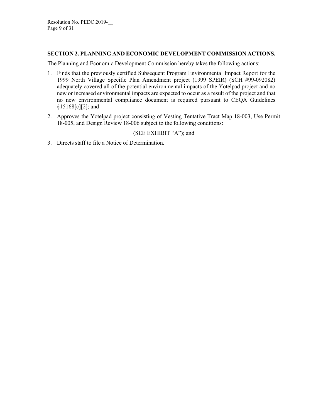#### **SECTION 2. PLANNING AND ECONOMIC DEVELOPMENT COMMISSION ACTIONS.**

The Planning and Economic Development Commission hereby takes the following actions:

- 1. Finds that the previously certified Subsequent Program Environmental Impact Report for the 1999 North Village Specific Plan Amendment project (1999 SPEIR) (SCH #99-092082) adequately covered all of the potential environmental impacts of the Yotelpad project and no new or increased environmental impacts are expected to occur as a result of the project and that no new environmental compliance document is required pursuant to CEQA Guidelines §15168[c][2]; and
- 2. Approves the Yotelpad project consisting of Vesting Tentative Tract Map 18-003, Use Permit 18-005, and Design Review 18-006 subject to the following conditions:

#### (SEE EXHIBIT "A"); and

3. Directs staff to file a Notice of Determination.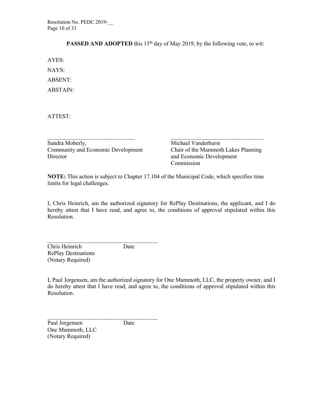Resolution No. PEDC 2019-\_\_ Page 10 of 31

**PASSED AND ADOPTED** this 15<sup>th</sup> day of May 2019, by the following vote, to wit:

AYES:

NAYS: ABSENT: ABSTAIN:

ATTEST:

Sandra Moberly, Michael Vanderhurst Community and Economic Development Chair of the Mammoth Lakes Planning Director and Economic Development

Commission

**NOTE:** This action is subject to Chapter 17.104 of the Municipal Code, which specifies time limits for legal challenges.

 $\_$  , and the contribution of the contribution of  $\_$  . The contribution of  $\_$  , and  $\_$  , and  $\_$  , and  $\_$ 

I, Chris Heinrich, am the authorized signatory for RePlay Destinations, the applicant, and I do hereby attest that I have read, and agree to, the conditions of approval stipulated within this Resolution.

Chris Heinrich Date RePlay Destinations (Notary Required)

\_\_\_\_\_\_\_\_\_\_\_\_\_\_\_\_\_\_\_\_\_\_\_\_\_\_\_\_\_\_\_\_\_\_\_\_\_\_

I, Paul Jorgensen, am the authorized signatory for One Mammoth, LLC, the property owner, and I do hereby attest that I have read, and agree to, the conditions of approval stipulated within this Resolution.

 $\mathcal{L}_\text{max}$  , where  $\mathcal{L}_\text{max}$  and  $\mathcal{L}_\text{max}$  and  $\mathcal{L}_\text{max}$ Paul Jorgensen Date One Mammoth, LLC (Notary Required)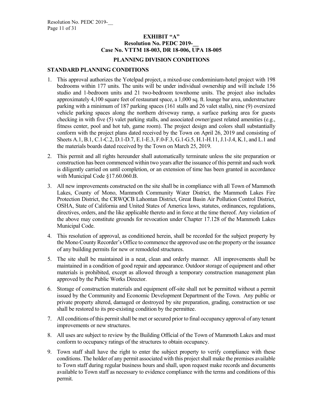#### **EXHIBIT "A" Resolution No. PEDC 2019-Case No. VTTM 18-003, DR 18-006, UPA 18-005**

#### **PLANNING DIVISION CONDITIONS**

#### **STANDARD PLANNING CONDITIONS**

- 1. This approval authorizes the Yotelpad project, a mixed-use condominium-hotel project with 198 bedrooms within 177 units. The units will be under individual ownership and will include 156 studio and 1-bedroom units and 21 two-bedroom townhome units. The project also includes approximately 4,100 square feet of restaurant space, a 1,000 sq. ft. lounge bar area, understructure parking with a minimum of 187 parking spaces (161 stalls and 26 valet stalls), nine (9) oversized vehicle parking spaces along the northern driveway ramp, a surface parking area for guests checking in with five (5) valet parking stalls, and associated owner/guest related amenities (e.g., fitness center, pool and hot tub, game room). The project design and colors shall substantially conform with the project plans dated received by the Town on April 26, 2019 and consisting of Sheets A.1, B.1, C.1-C.2, D.1-D.7, E.1-E.3, F.0-F.3, G.1-G.5, H.1-H.11, J.1-J.4, K.1, and L.1 and the materials boards dated received by the Town on March 25, 2019.
- 2. This permit and all rights hereunder shall automatically terminate unless the site preparation or construction has been commenced within two years after the issuance of this permit and such work is diligently carried on until completion, or an extension of time has been granted in accordance with Municipal Code §17.60.060.B.
- 3. All new improvements constructed on the site shall be in compliance with all Town of Mammoth Lakes, County of Mono, Mammoth Community Water District, the Mammoth Lakes Fire Protection District, the CRWQCB Lahontan District, Great Basin Air Pollution Control District, OSHA, State of California and United States of America laws, statutes, ordinances, regulations, directives, orders, and the like applicable thereto and in force at the time thereof. Any violation of the above may constitute grounds for revocation under Chapter 17.128 of the Mammoth Lakes Municipal Code.
- 4. This resolution of approval, as conditioned herein, shall be recorded for the subject property by the Mono County Recorder's Office to commence the approved use on the property or the issuance of any building permits for new or remodeled structures.
- 5. The site shall be maintained in a neat, clean and orderly manner. All improvements shall be maintained in a condition of good repair and appearance. Outdoor storage of equipment and other materials is prohibited, except as allowed through a temporary construction management plan approved by the Public Works Director.
- 6. Storage of construction materials and equipment off-site shall not be permitted without a permit issued by the Community and Economic Development Department of the Town. Any public or private property altered, damaged or destroyed by site preparation, grading, construction or use shall be restored to its pre-existing condition by the permittee.
- 7. All conditions of this permit shall be met or secured prior to final occupancy approval of any tenant improvements or new structures.
- 8. All uses are subject to review by the Building Official of the Town of Mammoth Lakes and must conform to occupancy ratings of the structures to obtain occupancy.
- 9. Town staff shall have the right to enter the subject property to verify compliance with these conditions. The holder of any permit associated with this project shall make the premises available to Town staff during regular business hours and shall, upon request make records and documents available to Town staff as necessary to evidence compliance with the terms and conditions of this permit.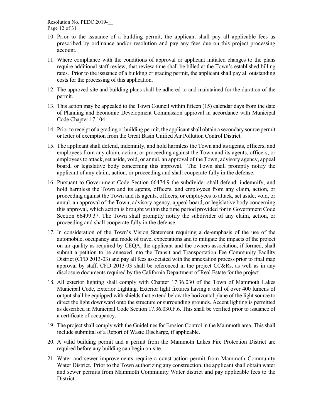Resolution No. PEDC 2019-\_\_ Page 12 of 31

- 10. Prior to the issuance of a building permit, the applicant shall pay all applicable fees as prescribed by ordinance and/or resolution and pay any fees due on this project processing account.
- 11. Where compliance with the conditions of approval or applicant initiated changes to the plans require additional staff review, that review time shall be billed at the Town's established billing rates. Prior to the issuance of a building or grading permit, the applicant shall pay all outstanding costs for the processing of this application.
- 12. The approved site and building plans shall be adhered to and maintained for the duration of the permit.
- 13. This action may be appealed to the Town Council within fifteen (15) calendar days from the date of Planning and Economic Development Commission approval in accordance with Municipal Code Chapter 17.104.
- 14. Prior to receipt of a grading or building permit, the applicant shall obtain a secondary source permit or letter of exemption from the Great Basin Unified Air Pollution Control District.
- 15. The applicant shall defend, indemnify, and hold harmless the Town and its agents, officers, and employees from any claim, action, or proceeding against the Town and its agents, officers, or employees to attack, set aside, void, or annul, an approval of the Town, advisory agency, appeal board, or legislative body concerning this approval. The Town shall promptly notify the applicant of any claim, action, or proceeding and shall cooperate fully in the defense.
- 16. Pursuant to Government Code Section 66474.9 the subdivider shall defend, indemnify, and hold harmless the Town and its agents, officers, and employees from any claim, action, or proceeding against the Town and its agents, officers, or employees to attack, set aside, void, or annul, an approval of the Town, advisory agency, appeal board, or legislative body concerning this approval, which action is brought within the time period provided for in Government Code Section 66499.37. The Town shall promptly notify the subdivider of any claim, action, or proceeding and shall cooperate fully in the defense.
- 17. In consideration of the Town's Vision Statement requiring a de-emphasis of the use of the automobile, occupancy and mode of travel expectations and to mitigate the impacts of the project on air quality as required by CEQA, the applicant and the owners association, if formed, shall submit a petition to be annexed into the Transit and Transportation Fee Community Facility District (CFD 2013-03) and pay all fees associated with the annexation process prior to final map approval by staff. CFD 2013-03 shall be referenced in the project CC&Rs, as well as in any disclosure documents required by the California Department of Real Estate for the project.
- 18. All exterior lighting shall comply with Chapter 17.36.030 of the Town of Mammoth Lakes Municipal Code, Exterior Lighting. Exterior light fixtures having a total of over 400 lumens of output shall be equipped with shields that extend below the horizontal plane of the light source to direct the light downward onto the structure or surrounding grounds. Accent lighting is permitted as described in Municipal Code Section 17.36.030.F.6. This shall be verified prior to issuance of a certificate of occupancy.
- 19. The project shall comply with the Guidelines for Erosion Control in the Mammoth area. This shall include submittal of a Report of Waste Discharge, if applicable.
- 20. A valid building permit and a permit from the Mammoth Lakes Fire Protection District are required before any building can begin on-site.
- 21. Water and sewer improvements require a construction permit from Mammoth Community Water District. Prior to the Town authorizing any construction, the applicant shall obtain water and sewer permits from Mammoth Community Water district and pay applicable fees to the District.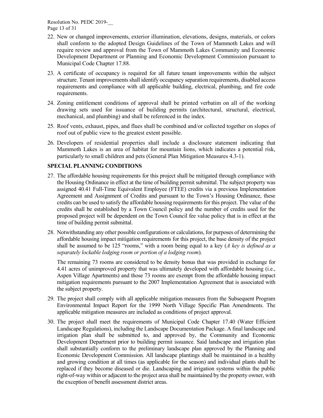Resolution No. PEDC 2019-\_\_ Page 13 of 31

- 22. New or changed improvements, exterior illumination, elevations, designs, materials, or colors shall conform to the adopted Design Guidelines of the Town of Mammoth Lakes and will require review and approval from the Town of Mammoth Lakes Community and Economic Development Department or Planning and Economic Development Commission pursuant to Municipal Code Chapter 17.88.
- 23. A certificate of occupancy is required for all future tenant improvements within the subject structure. Tenant improvements shall identify occupancy separation requirements, disabled access requirements and compliance with all applicable building, electrical, plumbing, and fire code requirements.
- 24. Zoning entitlement conditions of approval shall be printed verbatim on all of the working drawing sets used for issuance of building permits (architectural, structural, electrical, mechanical, and plumbing) and shall be referenced in the index.
- 25. Roof vents, exhaust, pipes, and flues shall be combined and/or collected together on slopes of roof out of public view to the greatest extent possible.
- 26. Developers of residential properties shall include a disclosure statement indicating that Mammoth Lakes is an area of habitat for mountain lions, which indicates a potential risk, particularly to small children and pets (General Plan Mitigation Measures 4.3-1).

#### **SPECIAL PLANNING CONDITIONS**

- 27. The affordable housing requirements for this project shall be mitigated through compliance with the Housing Ordinance in effect at the time of building permit submittal. The subject property was assigned 40.41 Full-Time Equivalent Employee (FTEE) credits via a previous Implementation Agreement and Assignment of Credits and pursuant to the Town's Housing Ordinance, these credits can be used to satisfy the affordable housing requirements for this project. The value of the credits shall be established by a Town Council policy and the number of credits used for the proposed project will be dependent on the Town Council fee value policy that is in effect at the time of building permit submittal.
- 28. Notwithstanding any other possible configurations or calculations, for purposes of determining the affordable housing impact mitigation requirements for this project, the base density of the project shall be assumed to be 125 "rooms," with a room being equal to a key (*A key is defined as a separately lockable lodging room or portion of a lodging room*).

The remaining 73 rooms are considered to be density bonus that was provided in exchange for 4.41 acres of unimproved property that was ultimately developed with affordable housing (i.e., Aspen Village Apartments) and those 73 rooms are exempt from the affordable housing impact mitigation requirements pursuant to the 2007 Implementation Agreement that is associated with the subject property.

- 29. The project shall comply with all applicable mitigation measures from the Subsequent Program Environmental Impact Report for the 1999 North Village Specific Plan Amendments. The applicable mitigation measures are included as conditions of project approval.
- 30. The project shall meet the requirements of Municipal Code Chapter 17.40 (Water Efficient Landscape Regulations), including the Landscape Documentation Package. A final landscape and irrigation plan shall be submitted to, and approved by, the Community and Economic Development Department prior to building permit issuance. Said landscape and irrigation plan shall substantially conform to the preliminary landscape plan approved by the Planning and Economic Development Commission. All landscape plantings shall be maintained in a healthy and growing condition at all times (as applicable for the season) and individual plants shall be replaced if they become diseased or die. Landscaping and irrigation systems within the public right-of-way within or adjacent to the project area shall be maintained by the property owner, with the exception of benefit assessment district areas.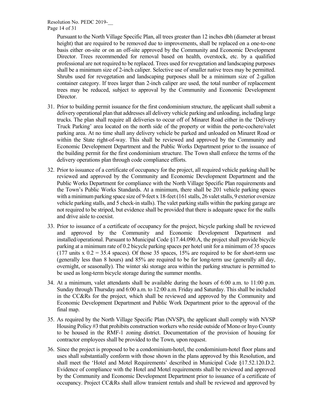Pursuant to the North Village Specific Plan, all trees greater than 12 inches dbh (diameter at breast height) that are required to be removed due to improvements, shall be replaced on a one-to-one basis either on-site or on an off-site approved by the Community and Economic Development Director. Trees recommended for removal based on health, overstock, etc. by a qualified professional are not required to be replaced. Trees used for revegetation and landscaping purposes shall be a minimum size of 2-inch caliper. Selective use of smaller native trees may be permitted. Shrubs used for revegetation and landscaping purposes shall be a minimum size of 2-gallon container category. If trees larger than 2-inch caliper are used, the total number of replacement trees may be reduced, subject to approval by the Community and Economic Development Director.

- 31. Prior to building permit issuance for the first condominium structure, the applicant shall submit a delivery operational plan that addresses all delivery vehicle parking and unloading, including large trucks. The plan shall require all deliveries to occur off of Minaret Road either in the 'Delivery Truck Parking' area located on the north side of the property or within the porte-cochere/valet parking area. At no time shall any delivery vehicle be parked and unloaded on Minaret Road or within the State right-of-way. This shall be reviewed and approved by the Community and Economic Development Department and the Public Works Department prior to the issuance of the building permit for the first condominium structure. The Town shall enforce the terms of the delivery operations plan through code compliance efforts.
- 32. Prior to issuance of a certificate of occupancy for the project, all required vehicle parking shall be reviewed and approved by the Community and Economic Development Department and the Public Works Department for compliance with the North Village Specific Plan requirements and the Town's Public Works Standards. At a minimum, there shall be 201 vehicle parking spaces with a minimum parking space size of 9-feet x 18-feet (161 stalls, 26 valet stalls, 9 exterior oversize vehicle parking stalls, and 5 check-in stalls). The valet parking stalls within the parking garage are not required to be striped, but evidence shall be provided that there is adequate space for the stalls and drive aisle to coexist.
- 33. Prior to issuance of a certificate of occupancy for the project, bicycle parking shall be reviewed and approved by the Community and Economic Development Department and installed/operational. Pursuant to Municipal Code §17.44.090.A, the project shall provide bicycle parking at a minimum rate of 0.2 bicycle parking spaces per hotel unit for a minimum of 35 spaces (177 units  $x = 0.2 = 35.4$  spaces). Of those 35 spaces, 15% are required to be for short-term use (generally less than 8 hours) and 85% are required to be for long-term use (generally all day, overnight, or seasonally). The winter ski storage area within the parking structure is permitted to be used as long-term bicycle storage during the summer months.
- 34. At a minimum, valet attendants shall be available during the hours of 6:00 a.m. to 11:00 p.m. Sunday through Thursday and 6:00 a.m. to 12:00 a.m. Friday and Saturday. This shall be included in the CC&Rs for the project, which shall be reviewed and approved by the Community and Economic Development Department and Public Work Department prior to the approval of the final map.
- 35. As required by the North Village Specific Plan (NVSP), the applicant shall comply with NVSP Housing Policy #3 that prohibits construction workers who reside outside of Mono or Inyo County to be housed in the RMF-1 zoning district. Documentation of the provision of housing for contractor employees shall be provided to the Town, upon request.
- 36. Since the project is proposed to be a condominium-hotel, the condominium-hotel floor plans and uses shall substantially conform with those shown in the plans approved by this Resolution, and shall meet the 'Hotel and Motel Requirements' described in Municipal Code §17.52.120.D.2. Evidence of compliance with the Hotel and Motel requirements shall be reviewed and approved by the Community and Economic Development Department prior to issuance of a certificate of occupancy. Project CC&Rs shall allow transient rentals and shall be reviewed and approved by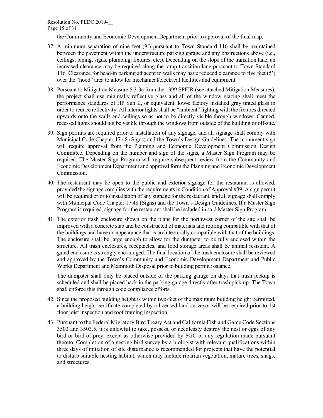Page 15 of 31

the Community and Economic Development Department prior to approval of the final map.

- 37. A minimum separation of nine feet (9') pursuant to Town Standard 116 shall be maintained between the pavement within the understructure parking garage and any obstructions above (i.e., ceilings, piping, signs, plumbing, fixtures, etc.). Depending on the slope of the transition lane, an increased clearance may be required along the ramp transition lane pursuant to Town Standard 116. Clearance for head-in parking adjacent to walls may have reduced clearance to five feet (5') over the "hood" area to allow for mechanical/electrical facilities and equipment.
- 38. Pursuant to Mitigation Measure 5.3-3c from the 1999 SPEIR (see attached Mitigation Measures), the project shall use minimally reflective glass and all of the window glazing shall meet the performance standards of HP Sun II, or equivalent, low-e factory installed gray tinted glass in order to reduce reflectivity. All interior lights shall be "ambient" lighting with the fixtures directed upwards onto the walls and ceilings so as not to be directly visible through windows. Canned, recessed lights should not be visible through the windows from outside of the building or off-site.
- 39. Sign permits are required prior to installation of any signage, and all signage shall comply with Municipal Code Chapter 17.48 (Signs) and the Town's Design Guidelines. The monument sign will require approval from the Planning and Economic Development Commission Design Committee. Depending on the number and sign of the signs, a Master Sign Program may be required. The Master Sign Program will require subsequent review from the Community and Economic Development Department and approval form the Planning and Economic Development Commission.
- 40. The restaurant may be open to the public and exterior signage for the restaurant is allowed, provided the signage complies with the requirements in Condition of Approval #39. A sign permit will be required prior to installation of any signage for the restaurant, and all signage shall comply with Municipal Code Chapter 17.48 (Signs) and the Town's Design Guidelines. If a Master Sign Program is required, signage for the restaurant shall be included in said Master Sign Program.
- 41. The exterior trash enclosure shown on the plans for the northwest corner of the site shall be improved with a concrete slab and be constructed of materials and roofing compatible with that of the buildings and have an appearance that is architecturally compatible with that of the buildings. The enclosure shall be large enough to allow for the dumpster to be fully enclosed within the structure. All trash enclosures, receptacles, and food storage areas shall be animal resistant. A gated enclosure is strongly encouraged. The final location of the trash enclosure shall be reviewed and approved by the Town's Community and Economic Development Department and Public Works Department and Mammoth Disposal prior to building permit issuance.

The dumpster shall only be placed outside of the parking garage on days that trash pickup is scheduled and shall be placed back in the parking garage directly after trash pick-up. The Town shall enforce this through code compliance efforts.

- 42. Since the proposed building height is within two-feet of the maximum building height permitted, a building height certificate completed by a licensed land surveyor will be required prior to 1st floor joist inspection and roof framing inspection.
- 43. Pursuant to the Federal Migratory Bird Treaty Act and California Fish and Game Code Sections 3503 and 3503.5, it is unlawful to take, possess, or needlessly destroy the nest or eggs of any bird or bird-of-prey, except as otherwise provided by FGC or any regulation made pursuant thereto. Completion of a nesting bird survey by a biologist with relevant qualifications within three days of initiation of site disturbance is recommended for projects that have the potential to disturb suitable nesting habitat, which may include riparian vegetation, mature trees, snags, and structures.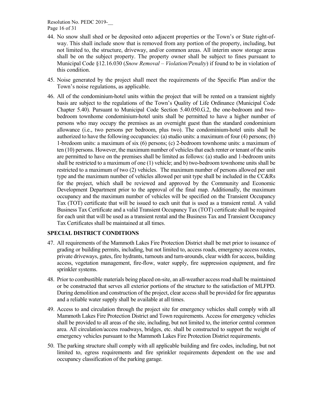Resolution No. PEDC 2019-\_\_ Page 16 of 31

- 44. No snow shall shed or be deposited onto adjacent properties or the Town's or State right-ofway. This shall include snow that is removed from any portion of the property, including, but not limited to, the structure, driveway, and/or common areas. All interim snow storage areas shall be on the subject property. The property owner shall be subject to fines pursuant to Municipal Code §12.16.030 (*Snow Removal – Violation/Penalty*) if found to be in violation of this condition.
- 45. Noise generated by the project shall meet the requirements of the Specific Plan and/or the Town's noise regulations, as applicable.
- 46. All of the condominium-hotel units within the project that will be rented on a transient nightly basis are subject to the regulations of the Town's Quality of Life Ordinance (Municipal Code Chapter 5.40). Pursuant to Municipal Code Section 5.40.050.G.2, the one-bedroom and twobedroom townhome condominium-hotel units shall be permitted to have a higher number of persons who may occupy the premises as an overnight guest than the standard condominium allowance (i.e., two persons per bedroom, plus two). The condominium-hotel units shall be authorized to have the following occupancies: (a) studio units: a maximum of four (4) persons; (b) 1-bredoom units: a maximum of six (6) persons; (c) 2-bedroom townhome units: a maximum of ten (10) persons. However, the maximum number of vehicles that each renter or tenant of the units are permitted to have on the premises shall be limited as follows: (a) studio and 1-bedroom units shall be restricted to a maximum of one (1) vehicle; and b) two-bedroom townhome units shall be restricted to a maximum of two (2) vehicles. The maximum number of persons allowed per unit type and the maximum number of vehicles allowed per unit type shall be included in the CC&Rs for the project, which shall be reviewed and approved by the Community and Economic Development Department prior to the approval of the final map. Additionally, the maximum occupancy and the maximum number of vehicles will be specified on the Transient Occupancy Tax (TOT) certificate that will be issued to each unit that is used as a transient rental. A valid Business Tax Certificate and a valid Transient Occupancy Tax (TOT) certificate shall be required for each unit that will be used as a transient rental and the Business Tax and Transient Occupancy Tax Certificates shall be maintained at all times.

#### **SPECIAL DISTRICT CONDITIONS**

- 47. All requirements of the Mammoth Lakes Fire Protection District shall be met prior to issuance of grading or building permits, including, but not limited to, access roads, emergency access routes, private driveways, gates, fire hydrants, turnouts and turn-arounds, clear width for access, building access, vegetation management, fire-flow, water supply, fire suppression equipment, and fire sprinkler systems.
- 48. Prior to combustible materials being placed on-site, an all-weather access road shall be maintained or be constructed that serves all exterior portions of the structure to the satisfaction of MLFPD. During demolition and construction of the project, clear access shall be provided for fire apparatus and a reliable water supply shall be available at all times.
- 49. Access to and circulation through the project site for emergency vehicles shall comply with all Mammoth Lakes Fire Protection District and Town requirements. Access for emergency vehicles shall be provided to all areas of the site, including, but not limited to, the interior central common area. All circulation/access roadways, bridges, etc. shall be constructed to support the weight of emergency vehicles pursuant to the Mammoth Lakes Fire Protection District requirements.
- 50. The parking structure shall comply with all applicable building and fire codes, including, but not limited to, egress requirements and fire sprinkler requirements dependent on the use and occupancy classification of the parking garage.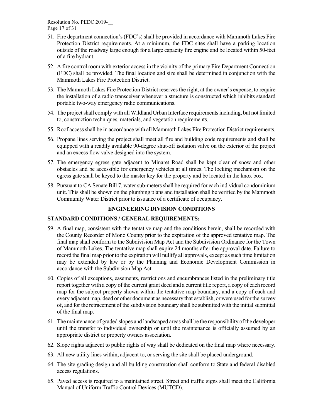Resolution No. PEDC 2019-\_\_ Page 17 of 31

- 51. Fire department connection's (FDC's) shall be provided in accordance with Mammoth Lakes Fire Protection District requirements. At a minimum, the FDC sites shall have a parking location outside of the roadway large enough for a large capacity fire engine and be located within 50-feet of a fire hydrant.
- 52. A fire control room with exterior access in the vicinity of the primary Fire Department Connection (FDC) shall be provided. The final location and size shall be determined in conjunction with the Mammoth Lakes Fire Protection District.
- 53. The Mammoth Lakes Fire Protection District reserves the right, at the owner's expense, to require the installation of a radio transceiver whenever a structure is constructed which inhibits standard portable two-way emergency radio communications.
- 54. The project shall comply with all Wildland Urban Interface requirements including, but not limited to, construction techniques, materials, and vegetation requirements.
- 55. Roof access shall be in accordance with all Mammoth Lakes Fire Protection District requirements.
- 56. Propane lines serving the project shall meet all fire and building code requirements and shall be equipped with a readily available 90-degree shut-off isolation valve on the exterior of the project and an excess flow valve designed into the system.
- 57. The emergency egress gate adjacent to Minaret Road shall be kept clear of snow and other obstacles and be accessible for emergency vehicles at all times. The locking mechanism on the egress gate shall be keyed to the master key for the property and be located in the knox box.
- 58. Pursuant to CA Senate Bill 7, water sub-meters shall be required for each individual condominium unit. This shall be shown on the plumbing plans and installation shall be verified by the Mammoth Community Water District prior to issuance of a certificate of occupancy.

# **ENGINEERING DIVISION CONDITIONS**

# **STANDARD CONDITIONS / GENERAL REQUIREMENTS:**

- 59. A final map, consistent with the tentative map and the conditions herein, shall be recorded with the County Recorder of Mono County prior to the expiration of the approved tentative map. The final map shall conform to the Subdivision Map Act and the Subdivision Ordinance for the Town of Mammoth Lakes. The tentative map shall expire 24 months after the approval date. Failure to record the final map prior to the expiration will nullify all approvals, except as such time limitation may be extended by law or by the Planning and Economic Development Commission in accordance with the Subdivision Map Act.
- 60. Copies of all exceptions, easements, restrictions and encumbrances listed in the preliminary title report together with a copy of the current grant deed and a current title report, a copy of each record map for the subject property shown within the tentative map boundary, and a copy of each and every adjacent map, deed or other document as necessary that establish, or were used for the survey of, and for the retracement of the subdivision boundary shall be submitted with the initial submittal of the final map.
- 61. The maintenance of graded slopes and landscaped areas shall be the responsibility of the developer until the transfer to individual ownership or until the maintenance is officially assumed by an appropriate district or property owners association.
- 62. Slope rights adjacent to public rights of way shall be dedicated on the final map where necessary.
- 63. All new utility lines within, adjacent to, or serving the site shall be placed underground.
- 64. The site grading design and all building construction shall conform to State and federal disabled access regulations.
- 65. Paved access is required to a maintained street. Street and traffic signs shall meet the California Manual of Uniform Traffic Control Devices (MUTCD).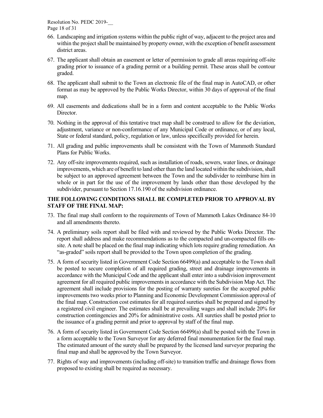Resolution No. PEDC 2019-\_\_ Page 18 of 31

- 66. Landscaping and irrigation systems within the public right of way, adjacent to the project area and within the project shall be maintained by property owner, with the exception of benefit assessment district areas.
- 67. The applicant shall obtain an easement or letter of permission to grade all areas requiring off-site grading prior to issuance of a grading permit or a building permit. These areas shall be contour graded.
- 68. The applicant shall submit to the Town an electronic file of the final map in AutoCAD, or other format as may be approved by the Public Works Director, within 30 days of approval of the final map.
- 69. All easements and dedications shall be in a form and content acceptable to the Public Works Director.
- 70. Nothing in the approval of this tentative tract map shall be construed to allow for the deviation, adjustment, variance or non-conformance of any Municipal Code or ordinance, or of any local, State or federal standard, policy, regulation or law, unless specifically provided for herein.
- 71. All grading and public improvements shall be consistent with the Town of Mammoth Standard Plans for Public Works.
- 72. Any off-site improvements required, such as installation of roads, sewers, water lines, or drainage improvements, which are of benefit to land other than the land located within the subdivision, shall be subject to an approved agreement between the Town and the subdivider to reimburse him in whole or in part for the use of the improvement by lands other than those developed by the subdivider, pursuant to Section 17.16.190 of the subdivision ordinance.

#### **THE FOLLOWING CONDITIONS SHALL BE COMPLETED PRIOR TO APPROVAL BY STAFF OF THE FINAL MAP:**

- 73. The final map shall conform to the requirements of Town of Mammoth Lakes Ordinance 84-10 and all amendments thereto.
- 74. A preliminary soils report shall be filed with and reviewed by the Public Works Director. The report shall address and make recommendations as to the compacted and un-compacted fills onsite. A note shall be placed on the final map indicating which lots require grading remediation. An "as-graded" soils report shall be provided to the Town upon completion of the grading.
- 75. A form of security listed in Government Code Section 66499(a) and acceptable to the Town shall be posted to secure completion of all required grading, street and drainage improvements in accordance with the Municipal Code and the applicant shall enter into a subdivision improvement agreement for all required public improvements in accordance with the Subdivision Map Act. The agreement shall include provisions for the posting of warranty sureties for the accepted public improvements two weeks prior to Planning and Economic Development Commission approval of the final map. Construction cost estimates for all required sureties shall be prepared and signed by a registered civil engineer. The estimates shall be at prevailing wages and shall include 20% for construction contingencies and 20% for administrative costs. All sureties shall be posted prior to the issuance of a grading permit and prior to approval by staff of the final map.
- 76. A form of security listed in Government Code Section 66499(a) shall be posted with the Town in a form acceptable to the Town Surveyor for any deferred final monumentation for the final map. The estimated amount of the surety shall be prepared by the licensed land surveyor preparing the final map and shall be approved by the Town Surveyor.
- 77. Rights of way and improvements (including off-site) to transition traffic and drainage flows from proposed to existing shall be required as necessary.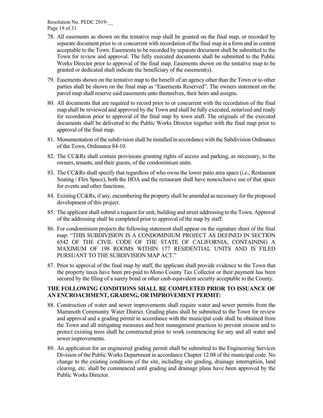Resolution No. PEDC 2019-\_\_ Page 19 of 31

- 78. All easements as shown on the tentative map shall be granted on the final map, or recorded by separate document prior to or concurrent with recordation of the final map in a form and in content acceptable to the Town. Easements to be recorded by separate document shall be submitted to the Town for review and approval. The fully executed documents shall be submitted to the Public Works Director prior to approval of the final map. Easements shown on the tentative map to be granted or dedicated shall indicate the beneficiary of the easement(s).
- 79. Easements shown on the tentative map to the benefit of an agency other than the Town or to other parties shall be shown on the final map as "Easements Reserved". The owners statement on the parcel map shall reserve said easements unto themselves, their heirs and assigns.
- 80. All documents that are required to record prior to or concurrent with the recordation of the final map shall be reviewed and approved by the Town and shall be fully executed, notarized and ready for recordation prior to approval of the final map by town staff. The originals of the executed documents shall be delivered to the Public Works Director together with the final map prior to approval of the final map.
- 81. Monumentation of the subdivision shall be installed in accordance with the Subdivision Ordinance of the Town, Ordinance 84-10.
- 82. The CC&Rs shall contain provisions granting rights of access and parking, as necessary, to the owners, tenants, and their guests, of the condominium units.
- 83. The CC&Rs shall specify that regardless of who owns the lower patio area space (i.e., Restaurant Seating / Flex Space), both the HOA and the restaurant shall have nonexclusive use of that space for events and other functions.
- 84. Existing CC&Rs, if any, encumbering the property shall be amended as necessary for the proposed development of this project.
- 85. The applicant shall submit a request for unit, building and street addressing to the Town. Approval of the addressing shall be completed prior to approval of the map by staff.
- 86. For condominium projects the following statement shall appear on the signature sheet of the final map: "THIS SUBDIVISION IS A CONDOMINIUM PROJECT AS DEFINED IN SECTION 6542 OF THE CIVIL CODE OF THE STATE OF CALIFORNIA, CONTAINING A MAXIMUM OF 198 ROOMS WITHIN 177 RESIDENTIAL UNITS AND IS FILED PURSUANT TO THE SUBDIVISION MAP ACT."
- 87. Prior to approval of the final map by staff, the applicant shall provide evidence to the Town that the property taxes have been pre-paid to Mono County Tax Collector or their payment has been secured by the filing of a surety bond or other cash-equivalent security acceptable to the County.

#### **THE FOLLOWING CONDITIONS SHALL BE COMPLETED PRIOR TO ISSUANCE OF AN ENCROACHMENT, GRADING, OR IMPROVEMENT PERMIT:**

- 88. Construction of water and sewer improvements shall require water and sewer permits from the Mammoth Community Water District. Grading plans shall be submitted to the Town for review and approval and a grading permit in accordance with the municipal code shall be obtained from the Town and all mitigating measures and best management practices to prevent erosion and to protect existing trees shall be constructed prior to work commencing for any and all water and sewer improvements.
- 89. An application for an engineered grading permit shall be submitted to the Engineering Services Division of the Public Works Department in accordance Chapter 12.08 of the municipal code. No change to the existing conditions of the site, including site grading, drainage interruption, land clearing, etc. shall be commenced until grading and drainage plans have been approved by the Public Works Director.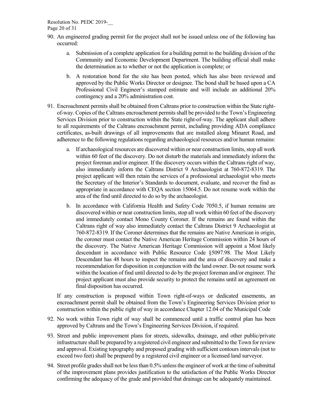Resolution No. PEDC 2019-\_\_

Page 20 of 31

- 90. An engineered grading permit for the project shall not be issued unless one of the following has occurred:
	- a. Submission of a complete application for a building permit to the building division of the Community and Economic Development Department. The building official shall make the determination as to whether or not the application is complete; or
	- b. A restoration bond for the site has been posted, which has also been reviewed and approved by the Public Works Director or designee. The bond shall be based upon a CA Professional Civil Engineer's stamped estimate and will include an additional 20% contingency and a 20% administration cost.
- 91. Encroachment permits shall be obtained from Caltrans prior to construction within the State rightof-way. Copies of the Caltrans encroachment permitsshall be provided to the Town's Engineering Services Division prior to construction within the State right-of-way. The applicant shall adhere to all requirements of the Caltrans encroachment permit, including providing ADA compliance certificates, as-built drawings of all improvements that are installed along Minaret Road, and adherence to the following regulations regarding archaeological resources and/or human remains:
	- a. If archaeological resources are discovered within or near construction limits, stop all work within 60 feet of the discovery. Do not disturb the materials and immediately inform the project foreman and/or engineer. If the discovery occurs within the Caltrans right of way, also immediately inform the Caltrans District 9 Archaeologist at 760-872-8319. The project applicant will then retain the services of a professional archaeologist who meets the Secretary of the Interior's Standards to document, evaluate, and recover the find as appropriate in accordance with CEQA section 15064.5. Do not resume work within the area of the find until directed to do so by the archaeologist.
	- b. In accordance with California Health and Safety Code 7050.5, if human remains are discovered within or near construction limits, stop all work within 60 feet of the discovery and immediately contact Mono County Coroner. If the remains are found within the Caltrans right of way also immediately contact the Caltrans District 9 Archaeologist at 760-872-8319. If the Coroner determines that the remains are Native American in origin, the coroner must contact the Native American Heritage Commission within 24 hours of the discovery. The Native American Heritage Commission will appoint a Most likely descendant in accordance with Public Resource Code §5097.98. The Most Likely Descendant has 48 hours to inspect the remains and the area of discovery and make a recommendation for disposition in conjunction with the land owner. Do not resume work within the location of find until directed to do by the project foreman and/or engineer. The project applicant must also provide security to protect the remains until an agreement on final disposition has occurred.

If any construction is proposed within Town right-of-ways or dedicated easements, an encroachment permit shall be obtained from the Town's Engineering Services Division prior to construction within the public right of way in accordance Chapter 12.04 of the Municipal Code

- 92. No work within Town right of way shall be commenced until a traffic control plan has been approved by Caltrans and the Town's Engineering Services Division, if required.
- 93. Street and public improvement plans for streets, sidewalks, drainage, and other public/private infrastructure shall be prepared by a registered civil engineer and submitted to the Town for review and approval. Existing topography and proposed grading with sufficient contours intervals (not to exceed two feet) shall be prepared by a registered civil engineer or a licensed land surveyor.
- 94. Street profile grades shall not be less than 0.5% unless the engineer of work at the time of submittal of the improvement plans provides justification to the satisfaction of the Public Works Director confirming the adequacy of the grade and provided that drainage can be adequately maintained.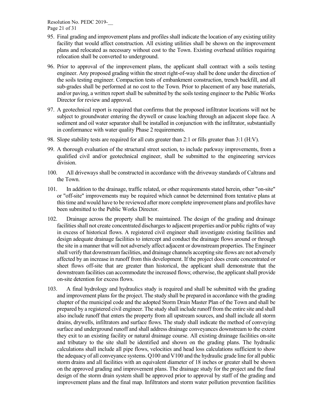Resolution No. PEDC 2019-\_\_ Page 21 of 31

- 95. Final grading and improvement plans and profiles shall indicate the location of any existing utility facility that would affect construction. All existing utilities shall be shown on the improvement plans and relocated as necessary without cost to the Town. Existing overhead utilities requiring relocation shall be converted to underground.
- 96. Prior to approval of the improvement plans, the applicant shall contract with a soils testing engineer. Any proposed grading within the street right-of-way shall be done under the direction of the soils testing engineer. Compaction tests of embankment construction, trench backfill, and all sub-grades shall be performed at no cost to the Town. Prior to placement of any base materials, and/or paving, a written report shall be submitted by the soils testing engineer to the Public Works Director for review and approval.
- 97. A geotechnical report is required that confirms that the proposed infiltrator locations will not be subject to groundwater entering the drywell or cause leaching through an adjacent slope face. A sediment and oil water separator shall be installed in conjunction with the infiltrator, substantially in conformance with water quality Phase 2 requirements.
- 98. Slope stability tests are required for all cuts greater than 2:1 or fills greater than 3:1 (H:V).
- 99. A thorough evaluation of the structural street section, to include parkway improvements, from a qualified civil and/or geotechnical engineer, shall be submitted to the engineering services division.
- 100. All driveways shall be constructed in accordance with the driveway standards of Caltrans and the Town.
- 101. In addition to the drainage, traffic related, or other requirements stated herein, other "on-site" or "off-site" improvements may be required which cannot be determined from tentative plans at this time and would have to be reviewed after more complete improvement plans and profiles have been submitted to the Public Works Director.
- 102. Drainage across the property shall be maintained. The design of the grading and drainage facilities shall not create concentrated discharges to adjacent properties and/or public rights of way in excess of historical flows. A registered civil engineer shall investigate existing facilities and design adequate drainage facilities to intercept and conduct the drainage flows around or through the site in a manner that will not adversely affect adjacent or downstream properties. The Engineer shall verify that downstream facilities, and drainage channels accepting site flows are not adversely affected by an increase in runoff from this development. If the project does create concentrated or sheet flows off-site that are greater than historical, the applicant shall demonstrate that the downstream facilities can accommodate the increased flows; otherwise, the applicant shall provide on-site detention for excess flows.
- 103. A final hydrology and hydraulics study is required and shall be submitted with the grading and improvement plans for the project. The study shall be prepared in accordance with the grading chapter of the municipal code and the adopted Storm Drain Master Plan of the Town and shall be prepared by a registered civil engineer. The study shall include runoff from the entire site and shall also include runoff that enters the property from all upstream sources, and shall include all storm drains, drywells, infiltrators and surface flows. The study shall indicate the method of conveying surface and underground runoff and shall address drainage conveyances downstream to the extent they exit to an existing facility or natural drainage course. All existing drainage facilities on-site and tributary to the site shall be identified and shown on the grading plans. The hydraulic calculations shall include all pipe flows, velocities and head loss calculations sufficient to show the adequacy of all conveyance systems. Q100 and V100 and the hydraulic grade line for all public storm drains and all facilities with an equivalent diameter of 18 inches or greater shall be shown on the approved grading and improvement plans. The drainage study for the project and the final design of the storm drain system shall be approved prior to approval by staff of the grading and improvement plans and the final map. Infiltrators and storm water pollution prevention facilities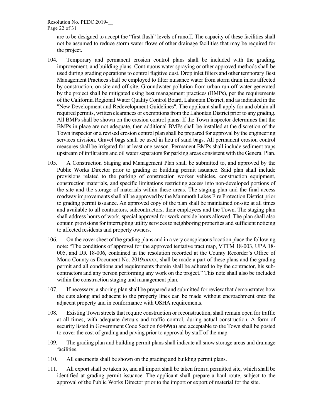Resolution No. PEDC 2019-\_\_

Page 22 of 31

are to be designed to accept the "first flush" levels of runoff. The capacity of these facilities shall not be assumed to reduce storm water flows of other drainage facilities that may be required for the project.

- 104. Temporary and permanent erosion control plans shall be included with the grading, improvement, and building plans. Continuous water spraying or other approved methods shall be used during grading operations to control fugitive dust. Drop inlet filters and other temporary Best Management Practices shall be employed to filter nuisance water from storm drain inlets affected by construction, on-site and off-site. Groundwater pollution from urban run-off water generated by the project shall be mitigated using best management practices (BMPs), per the requirements of the California Regional Water Quality Control Board, Lahontan District, and as indicated in the "New Development and Redevelopment Guidelines". The applicant shall apply for and obtain all required permits, written clearances or exemptions from the Lahontan District prior to any grading. All BMPs shall be shown on the erosion control plans. If the Town inspector determines that the BMPs in place are not adequate, then additional BMPs shall be installed at the discretion of the Town inspector or a revised erosion control plan shall be prepared for approval by the engineering services division. Gravel bags shall be used in lieu of sand bags. All permanent erosion control measures shall be irrigated for at least one season. Permanent BMPs shall include sediment traps upstream of infiltrators and oil water separators for parking areas consistent with the General Plan.
- 105. A Construction Staging and Management Plan shall be submitted to, and approved by the Public Works Director prior to grading or building permit issuance. Said plan shall include provisions related to the parking of construction worker vehicles, construction equipment, construction materials, and specific limitations restricting access into non-developed portions of the site and the storage of materials within these areas. The staging plan and the final access roadway improvements shall all be approved by the Mammoth Lakes Fire Protection District prior to grading permit issuance. An approved copy of the plan shall be maintained on-site at all times and available to all contractors, subcontractors, their employees and the Town. The staging plan shall address hours of work, special approval for work outside hours allowed. The plan shall also contain provisions for interrupting utility services to neighboring properties and sufficient noticing to affected residents and property owners.
- 106. On the cover sheet of the grading plans and in a very conspicuous location place the following note: "The conditions of approval for the approved tentative tract map, VTTM 18-003, UPA 18- 005, and DR 18-006, contained in the resolution recorded at the County Recorder's Office of Mono County as Document No. 2019xxxxx, shall be made a part of these plans and the grading permit and all conditions and requirements therein shall be adhered to by the contractor, his subcontractors and any person performing any work on the project." This note shall also be included within the construction staging and management plan.
- 107. If necessary, a shoring plan shall be prepared and submitted for review that demonstrates how the cuts along and adjacent to the property lines can be made without encroachment onto the adjacent property and in conformance with OSHA requirements.
- 108. Existing Town streets that require construction or reconstruction, shall remain open for traffic at all times, with adequate detours and traffic control, during actual construction. A form of security listed in Government Code Section 66499(a) and acceptable to the Town shall be posted to cover the cost of grading and paving prior to approval by staff of the map.
- 109. The grading plan and building permit plans shall indicate all snow storage areas and drainage facilities.
- 110. All easements shall be shown on the grading and building permit plans.
- 111. All export shall be taken to, and all import shall be taken from a permitted site, which shall be identified at grading permit issuance. The applicant shall prepare a haul route, subject to the approval of the Public Works Director prior to the import or export of material for the site.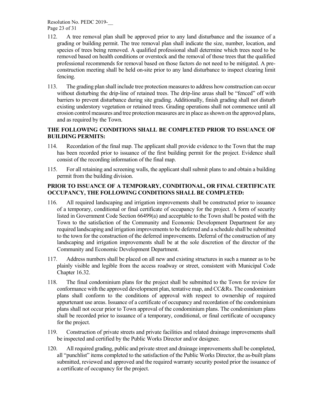Resolution No. PEDC 2019-\_\_ Page 23 of 31

- 112. A tree removal plan shall be approved prior to any land disturbance and the issuance of a grading or building permit. The tree removal plan shall indicate the size, number, location, and species of trees being removed. A qualified professional shall determine which trees need to be removed based on health conditions or overstock and the removal of those trees that the qualified professional recommends for removal based on those factors do not need to be mitigated. A preconstruction meeting shall be held on-site prior to any land disturbance to inspect clearing limit fencing.
- 113. The grading plan shall include tree protection measures to address how construction can occur without disturbing the drip-line of retained trees. The drip-line areas shall be "fenced" off with barriers to prevent disturbance during site grading. Additionally, finish grading shall not disturb existing understory vegetation or retained trees. Grading operations shall not commence until all erosion control measures and tree protection measures are in place as shown on the approved plans, and as required by the Town.

#### **THE FOLLOWING CONDITIONS SHALL BE COMPLETED PRIOR TO ISSUANCE OF BUILDING PERMITS:**

- 114. Recordation of the final map. The applicant shall provide evidence to the Town that the map has been recorded prior to issuance of the first building permit for the project. Evidence shall consist of the recording information of the final map.
- 115. For all retaining and screening walls, the applicant shall submit plans to and obtain a building permit from the building division.

#### **PRIOR TO ISSUANCE OF A TEMPORARY, CONDITIONAL, OR FINAL CERTIFICATE OCCUPANCY, THE FOLLOWING CONDITIONS SHALL BE COMPLETED:**

- 116. All required landscaping and irrigation improvements shall be constructed prior to issuance of a temporary, conditional or final certificate of occupancy for the project. A form of security listed in Government Code Section 66499(a) and acceptable to the Town shall be posted with the Town to the satisfaction of the Community and Economic Development Department for any required landscaping and irrigation improvements to be deferred and a schedule shall be submitted to the town for the construction of the deferred improvements. Deferral of the construction of any landscaping and irrigation improvements shall be at the sole discretion of the director of the Community and Economic Development Department.
- 117. Address numbers shall be placed on all new and existing structures in such a manner as to be plainly visible and legible from the access roadway or street, consistent with Municipal Code Chapter 16.32.
- 118. The final condominium plans for the project shall be submitted to the Town for review for conformance with the approved development plan, tentative map, and CC&Rs. The condominium plans shall conform to the conditions of approval with respect to ownership of required appurtenant use areas. Issuance of a certificate of occupancy and recordation of the condominium plans shall not occur prior to Town approval of the condominium plans. The condominium plans shall be recorded prior to issuance of a temporary, conditional, or final certificate of occupancy for the project.
- 119. Construction of private streets and private facilities and related drainage improvements shall be inspected and certified by the Public Works Director and/or designee.
- 120. All required grading, public and private street and drainage improvements shall be completed, all "punchlist" items completed to the satisfaction of the Public Works Director, the as-built plans submitted, reviewed and approved and the required warranty security posted prior the issuance of a certificate of occupancy for the project.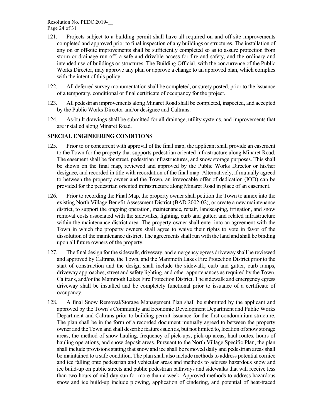Resolution No. PEDC 2019-\_\_ Page 24 of 31

- 121. Projects subject to a building permit shall have all required on and off-site improvements completed and approved prior to final inspection of any buildings or structures. The installation of any on or off-site improvements shall be sufficiently completed so as to assure protection from storm or drainage run off, a safe and drivable access for fire and safety, and the ordinary and intended use of buildings or structures. The Building Official, with the concurrence of the Public Works Director, may approve any plan or approve a change to an approved plan, which complies with the intent of this policy.
- 122. All deferred survey monumentation shall be completed, or surety posted, prior to the issuance of a temporary, conditional or final certificate of occupancy for the project.
- 123. All pedestrian improvements along Minaret Road shall be completed, inspected, and accepted by the Public Works Director and/or designee and Caltrans.
- 124. As-built drawings shall be submitted for all drainage, utility systems, and improvements that are installed along Minaret Road.

#### **SPECIAL ENGINEERING CONDITIONS**

- 125. Prior to or concurrent with approval of the final map, the applicant shall provide an easement to the Town for the property that supports pedestrian oriented infrastructure along Minaret Road. The easement shall be for street, pedestrian infrastructures, and snow storage purposes. This shall be shown on the final map, reviewed and approved by the Public Works Director or his/her designee, and recorded in title with recordation of the final map. Alternatively, if mutually agreed to between the property owner and the Town, an irrevocable offer of dedication (IOD) can be provided for the pedestrian oriented infrastructure along Minaret Road in place of an easement.
- 126. Prior to recording the Final Map, the property owner shall petition the Town to annex into the existing North Village Benefit Assessment District (BAD 2002-02), or create a new maintenance district, to support the ongoing operation, maintenance, repair, landscaping, irrigation, and snow removal costs associated with the sidewalks, lighting, curb and gutter, and related infrastructure within the maintenance district area. The property owner shall enter into an agreement with the Town in which the property owners shall agree to waive their rights to vote in favor of the dissolution of the maintenance district. The agreements shall run with the land and shall be binding upon all future owners of the property.
- 127. The final design for the sidewalk, driveway, and emergency egress driveway shall be reviewed and approved by Caltrans, the Town, and the Mammoth Lakes Fire Protection District prior to the start of construction and the design shall include the sidewalk, curb and gutter, curb ramps, driveway approaches, street and safety lighting, and other appurtenances as required by the Town, Caltrans, and/or the Mammoth Lakes Fire Protection District. The sidewalk and emergency egress driveway shall be installed and be completely functional prior to issuance of a certificate of occupancy.
- 128. A final Snow Removal/Storage Management Plan shall be submitted by the applicant and approved by the Town's Community and Economic Development Department and Public Works Department and Caltrans prior to building permit issuance for the first condominium structure. The plan shall be in the form of a recorded document mutually agreed to between the property owner and the Town and shall describe features such as, but not limited to, location of snow storage areas, the method of snow hauling, frequency of pick-ups, pick-up areas, haul routes, hours of hauling operations, and snow deposit areas. Pursuant to the North Village Specific Plan, the plan shall include provisions stating that snow and ice shall be removed daily and pedestrian areas shall be maintained to a safe condition. The plan shall also include methods to address potential cornice and ice falling onto pedestrian and vehicular areas and methods to address hazardous snow and ice build-up on public streets and public pedestrian pathways and sidewalks that will receive less than two hours of mid-day sun for more than a week. Approved methods to address hazardous snow and ice build-up include plowing, application of cindering, and potential of heat-traced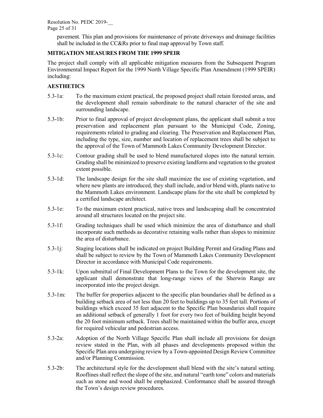pavement. This plan and provisions for maintenance of private driveways and drainage facilities shall be included in the CC&Rs prior to final map approval by Town staff.

# **MITIGATION MEASURES FROM THE 1999 SPEIR**

The project shall comply with all applicable mitigation measures from the Subsequent Program Environmental Impact Report for the 1999 North Village Specific Plan Amendment (1999 SPEIR) including:

### **AESTHETICS**

- 5.3-1a: To the maximum extent practical, the proposed project shall retain forested areas, and the development shall remain subordinate to the natural character of the site and surrounding landscape.
- 5.3-1b: Prior to final approval of project development plans, the applicant shall submit a tree preservation and replacement plan pursuant to the Municipal Code, Zoning, requirements related to grading and clearing. The Preservation and Replacement Plan, including the type, size, number and location of replacement trees shall be subject to the approval of the Town of Mammoth Lakes Community Development Director.
- 5.3-1c: Contour grading shall be used to blend manufactured slopes into the natural terrain. Grading shall be minimized to preserve existing landform and vegetation to the greatest extent possible.
- 5.3-1d: The landscape design for the site shall maximize the use of existing vegetation, and where new plants are introduced, they shall include, and/or blend with, plants native to the Mammoth Lakes environment. Landscape plans for the site shall be completed by a certified landscape architect.
- 5.3-1e: To the maximum extent practical, native trees and landscaping shall be concentrated around all structures located on the project site.
- 5.3-1f: Grading techniques shall be used which minimize the area of disturbance and shall incorporate such methods as decorative retaining walls rather than slopes to minimize the area of disturbance.
- 5.3-1j: Staging locations shall be indicated on project Building Permit and Grading Plans and shall be subject to review by the Town of Mammoth Lakes Community Development Director in accordance with Municipal Code requirements.
- 5.3-1k: Upon submittal of Final Development Plans to the Town for the development site, the applicant shall demonstrate that long-range views of the Sherwin Range are incorporated into the project design.
- 5.3-1m: The buffer for properties adjacent to the specific plan boundaries shall be defined as a building setback area of not less than 20 feet to buildings up to 35 feet tall. Portions of buildings which exceed 35 feet adjacent to the Specific Plan boundaries shall require an additional setback of generally 1 foot for every two feet of building height beyond the 20 foot minimum setback. Trees shall be maintained within the buffer area, except for required vehicular and pedestrian access.
- 5.3-2a: Adoption of the North Village Specific Plan shall include all provisions for design review stated in the Plan, with all phases and developments proposed within the Specific Plan area undergoing review by a Town-appointed Design Review Committee and/or Planning Commission.
- 5.3-2b: The architectural style for the development shall blend with the site's natural setting. Rooflines shall reflect the slope of the site, and natural "earth tone" colors and materials such as stone and wood shall be emphasized. Conformance shall be assured through the Town's design review procedures.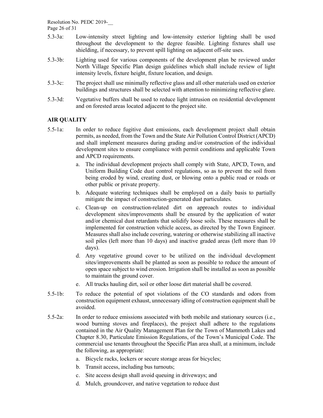Resolution No. PEDC 2019-\_\_

Page 26 of 31

- 5.3-3a: Low-intensity street lighting and low-intensity exterior lighting shall be used throughout the development to the degree feasible. Lighting fixtures shall use shielding, if necessary, to prevent spill lighting on adjacent off-site uses.
- 5.3-3b: Lighting used for various components of the development plan be reviewed under North Village Specific Plan design guidelines which shall include review of light intensity levels, fixture height, fixture location, and design.
- 5.3-3c: The project shall use minimally reflective glass and all other materials used on exterior buildings and structures shall be selected with attention to minimizing reflective glare.
- 5.3-3d: Vegetative buffers shall be used to reduce light intrusion on residential development and on forested areas located adjacent to the project site.

# **AIR QUALITY**

- 5.5-1a: In order to reduce fugitive dust emissions, each development project shall obtain permits, as needed, from the Town and the State Air Pollution Control District (APCD) and shall implement measures during grading and/or construction of the individual development sites to ensure compliance with permit conditions and applicable Town and APCD requirements.
	- a. The individual development projects shall comply with State, APCD, Town, and Uniform Building Code dust control regulations, so as to prevent the soil from being eroded by wind, creating dust, or blowing onto a public road or roads or other public or private property.
	- b. Adequate watering techniques shall be employed on a daily basis to partially mitigate the impact of construction-generated dust particulates.
	- c. Clean-up on construction-related dirt on approach routes to individual development sites/improvements shall be ensured by the application of water and/or chemical dust retardants that solidify loose soils. These measures shall be implemented for construction vehicle access, as directed by the Town Engineer. Measures shall also include covering, watering or otherwise stabilizing all inactive soil piles (left more than 10 days) and inactive graded areas (left more than 10 days).
	- d. Any vegetative ground cover to be utilized on the individual development sites/improvements shall be planted as soon as possible to reduce the amount of open space subject to wind erosion. Irrigation shall be installed as soon as possible to maintain the ground cover.
	- e. All trucks hauling dirt, soil or other loose dirt material shall be covered.
- 5.5-1b: To reduce the potential of spot violations of the CO standards and odors from construction equipment exhaust, unnecessary idling of construction equipment shall be avoided.
- 5.5-2a: In order to reduce emissions associated with both mobile and stationary sources (i.e., wood burning stoves and fireplaces), the project shall adhere to the regulations contained in the Air Quality Management Plan for the Town of Mammoth Lakes and Chapter 8.30, Particulate Emission Regulations, of the Town's Municipal Code. The commercial use tenants throughout the Specific Plan area shall, at a minimum, include the following, as appropriate:
	- a. Bicycle racks, lockers or secure storage areas for bicycles;
	- b. Transit access, including bus turnouts;
	- c. Site access design shall avoid queuing in driveways; and
	- d. Mulch, groundcover, and native vegetation to reduce dust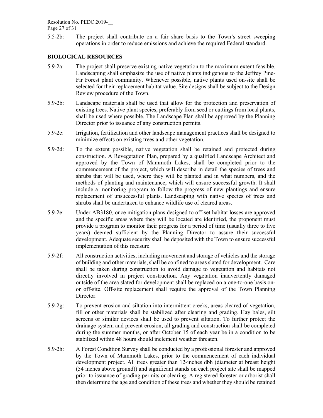Resolution No. PEDC 2019-\_\_

Page 27 of 31

5.5-2b: The project shall contribute on a fair share basis to the Town's street sweeping operations in order to reduce emissions and achieve the required Federal standard.

#### **BIOLOGICAL RESOURCES**

- 5.9-2a: The project shall preserve existing native vegetation to the maximum extent feasible. Landscaping shall emphasize the use of native plants indigenous to the Jeffrey Pine-Fir Forest plant community. Whenever possible, native plants used on-site shall be selected for their replacement habitat value. Site designs shall be subject to the Design Review procedure of the Town.
- 5.9-2b: Landscape materials shall be used that allow for the protection and preservation of existing trees. Native plant species, preferably from seed or cuttings from local plants, shall be used where possible. The Landscape Plan shall be approved by the Planning Director prior to issuance of any construction permits.
- 5.9-2c: Irrigation, fertilization and other landscape management practices shall be designed to minimize effects on existing trees and other vegetation.
- 5.9-2d: To the extent possible, native vegetation shall be retained and protected during construction. A Revegetation Plan, prepared by a qualified Landscape Architect and approved by the Town of Mammoth Lakes, shall be completed prior to the commencement of the project, which will describe in detail the species of trees and shrubs that will be used, where they will be planted and in what numbers, and the methods of planting and maintenance, which will ensure successful growth. It shall include a monitoring program to follow the progress of new plantings and ensure replacement of unsuccessful plants. Landscaping with native species of trees and shrubs shall be undertaken to enhance wildlife use of cleared areas.
- 5.9-2e: Under AB3180, once mitigation plans designed to off-set habitat losses are approved and the specific areas where they will be located are identified, the proponent must provide a program to monitor their progress for a period of time (usually three to five years) deemed sufficient by the Planning Director to assure their successful development. Adequate security shall be deposited with the Town to ensure successful implementation of this measure.
- 5.9-2f: All construction activities, including movement and storage of vehicles and the storage of building and other materials, shall be confined to areas slated for development. Care shall be taken during construction to avoid damage to vegetation and habitats not directly involved in project construction. Any vegetation inadvertently damaged outside of the area slated for development shall be replaced on a one-to-one basis onor off-site. Off-site replacement shall require the approval of the Town Planning Director.
- 5.9-2g: To prevent erosion and siltation into intermittent creeks, areas cleared of vegetation, fill or other materials shall be stabilized after clearing and grading. Hay bales, silt screens or similar devices shall be used to prevent siltation. To further protect the drainage system and prevent erosion, all grading and construction shall be completed during the summer months, or after October 15 of each year be in a condition to be stabilized within 48 hours should inclement weather threaten.
- 5.9-2h: A Forest Condition Survey shall be conducted by a professional forester and approved by the Town of Mammoth Lakes, prior to the commencement of each individual development project. All trees greater than 12-inches dbh (diameter at breast height (54 inches above ground)) and significant stands on each project site shall be mapped prior to issuance of grading permits or clearing. A registered forester or arborist shall then determine the age and condition of these trees and whether they should be retained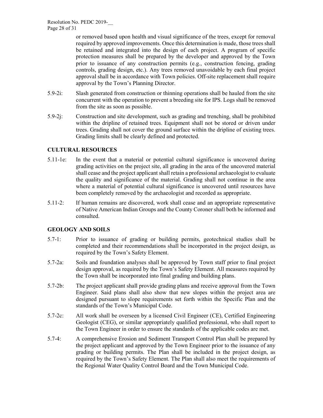or removed based upon health and visual significance of the trees, except for removal required by approved improvements. Once this determination is made, those trees shall be retained and integrated into the design of each project. A program of specific protection measures shall be prepared by the developer and approved by the Town prior to issuance of any construction permits (e.g., construction fencing, grading controls, grading design, etc.). Any trees removed unavoidable by each final project approval shall be in accordance with Town policies. Off-site replacement shall require approval by the Town's Planning Director.

- 5.9-2i: Slash generated from construction or thinning operations shall be hauled from the site concurrent with the operation to prevent a breeding site for IPS. Logs shall be removed from the site as soon as possible.
- 5.9-2j: Construction and site development, such as grading and trenching, shall be prohibited within the dripline of retained trees. Equipment shall not be stored or driven under trees. Grading shall not cover the ground surface within the dripline of existing trees. Grading limits shall be clearly defined and protected.

#### **CULTURAL RESOURCES**

- 5.11-1e: In the event that a material or potential cultural significance is uncovered during grading activities on the project site, all grading in the area of the uncovered material shall cease and the project applicant shall retain a professional archaeologist to evaluate the quality and significance of the material. Grading shall not continue in the area where a material of potential cultural significance is uncovered until resources have been completely removed by the archaeologist and recorded as appropriate.
- 5.11-2: If human remains are discovered, work shall cease and an appropriate representative of Native American Indian Groups and the County Coroner shall both be informed and consulted.

#### **GEOLOGY AND SOILS**

- 5.7-1: Prior to issuance of grading or building permits, geotechnical studies shall be completed and their recommendations shall be incorporated in the project design, as required by the Town's Safety Element.
- 5.7-2a: Soils and foundation analyses shall be approved by Town staff prior to final project design approval, as required by the Town's Safety Element. All measures required by the Town shall be incorporated into final grading and building plans.
- 5.7-2b: The project applicant shall provide grading plans and receive approval from the Town Engineer. Said plans shall also show that new slopes within the project area are designed pursuant to slope requirements set forth within the Specific Plan and the standards of the Town's Municipal Code.
- 5.7-2c: All work shall be overseen by a licensed Civil Engineer (CE), Certified Engineering Geologist (CEG), or similar appropriately qualified professional, who shall report to the Town Engineer in order to ensure the standards of the applicable codes are met.
- 5.7-4: A comprehensive Erosion and Sediment Transport Control Plan shall be prepared by the project applicant and approved by the Town Engineer prior to the issuance of any grading or building permits. The Plan shall be included in the project design, as required by the Town's Safety Element. The Plan shall also meet the requirements of the Regional Water Quality Control Board and the Town Municipal Code.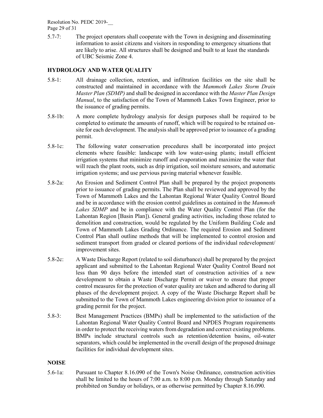Resolution No. PEDC 2019-\_\_

Page 29 of 31

5.7-7: The project operators shall cooperate with the Town in designing and disseminating information to assist citizens and visitors in responding to emergency situations that are likely to arise. All structures shall be designed and built to at least the standards of UBC Seismic Zone 4.

# **HYDROLOGY AND WATER QUALITY**

- 5.8-1: All drainage collection, retention, and infiltration facilities on the site shall be constructed and maintained in accordance with the *Mammoth Lakes Storm Drain Master Plan (SDMP)* and shall be designed in accordance with the *Master Plan Design Manual*, to the satisfaction of the Town of Mammoth Lakes Town Engineer, prior to the issuance of grading permits.
- 5.8-1b: A more complete hydrology analysis for design purposes shall be required to be completed to estimate the amounts of runoff, which will be required to be retained onsite for each development. The analysis shall be approved prior to issuance of a grading permit.
- 5.8-1c: The following water conservation procedures shall be incorporated into project elements where feasible: landscape with low water-using plants; install efficient irrigation systems that minimize runoff and evaporation and maximize the water that will reach the plant roots, such as drip irrigation, soil moisture sensors, and automatic irrigation systems; and use pervious paving material whenever feasible.
- 5.8-2a: An Erosion and Sediment Control Plan shall be prepared by the project proponents prior to issuance of grading permits. The Plan shall be reviewed and approved by the Town of Mammoth Lakes and the Lahontan Regional Water Quality Control Board and be in accordance with the erosion control guidelines as contained in the *Mammoth Lakes SDMP* and be in compliance with the Water Quality Control Plan (for the Lahontan Region [Basin Plan]). General grading activities, including those related to demolition and construction, would be regulated by the Uniform Building Code and Town of Mammoth Lakes Grading Ordinance. The required Erosion and Sediment Control Plan shall outline methods that will be implemented to control erosion and sediment transport from graded or cleared portions of the individual redevelopment/ improvement sites.
- 5.8-2c: A Waste Discharge Report (related to soil disturbance) shall be prepared by the project applicant and submitted to the Lahontan Regional Water Quality Control Board not less than 90 days before the intended start of construction activities of a new development to obtain a Waste Discharge Permit or waiver to ensure that proper control measures for the protection of water quality are taken and adhered to during all phases of the development project. A copy of the Waste Discharge Report shall be submitted to the Town of Mammoth Lakes engineering division prior to issuance of a grading permit for the project.
- 5.8-3: Best Management Practices (BMPs) shall be implemented to the satisfaction of the Lahontan Regional Water Quality Control Board and NPDES Program requirements in order to protect the receiving waters from degradation and correct existing problems. BMPs include structural controls such as retention/detention basins, oil-water separators, which could be implemented in the overall design of the proposed drainage facilities for individual development sites.

#### **NOISE**

5.6-1a: Pursuant to Chapter 8.16.090 of the Town's Noise Ordinance, construction activities shall be limited to the hours of 7:00 a.m. to 8:00 p.m. Monday through Saturday and prohibited on Sunday or holidays, or as otherwise permitted by Chapter 8.16.090.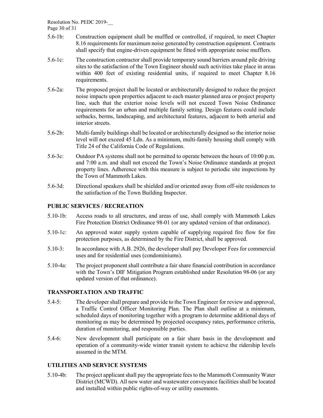Resolution No. PEDC 2019-\_\_

Page 30 of 31

- 5.6-1b: Construction equipment shall be muffled or controlled, if required, to meet Chapter 8.16 requirements for maximum noise generated by construction equipment. Contracts shall specify that engine-driven equipment be fitted with appropriate noise mufflers.
- 5.6-1c: The construction contractor shall provide temporary sound barriers around pile driving sites to the satisfaction of the Town Engineer should such activities take place in areas within 400 feet of existing residential units, if required to meet Chapter 8.16 requirements.
- 5.6-2a: The proposed project shall be located or architecturally designed to reduce the project noise impacts upon properties adjacent to each master planned area or project property line, such that the exterior noise levels will not exceed Town Noise Ordinance requirements for an urban and multiple family setting. Design features could include setbacks, berms, landscaping, and architectural features, adjacent to both arterial and interior streets.
- 5.6-2b: Multi-family buildings shall be located or architecturally designed so the interior noise level will not exceed 45 Ldn. As a minimum, multi-family housing shall comply with Title 24 of the California Code of Regulations.
- 5.6-3c: Outdoor PA systems shall not be permitted to operate between the hours of 10:00 p.m. and 7:00 a.m. and shall not exceed the Town's Noise Ordinance standards at project property lines. Adherence with this measure is subject to periodic site inspections by the Town of Mammoth Lakes.
- 5.6-3d: Directional speakers shall be shielded and/or oriented away from off-site residences to the satisfaction of the Town Building Inspector.

## **PUBLIC SERVICES / RECREATION**

- 5.10-1b: Access roads to all structures, and areas of use, shall comply with Mammoth Lakes Fire Protection District Ordinance 98-01 (or any updated version of that ordinance).
- 5.10-1c: An approved water supply system capable of supplying required fire flow for fire protection purposes, as determined by the Fire District, shall be approved.
- 5.10-3: In accordance with A.B. 2926, the developer shall pay Developer Fees for commercial uses and for residential uses (condominiums).
- 5.10-4a: The project proponent shall contribute a fair share financial contribution in accordance with the Town's DIF Mitigation Program established under Resolution 98-06 (or any updated version of that ordinance).

#### **TRANSPORTATION AND TRAFFIC**

- 5.4-5: The developer shall prepare and provide to the Town Engineer for review and approval, a Traffic Control Officer Monitoring Plan. The Plan shall outline at a minimum, scheduled days of monitoring together with a program to determine additional days of monitoring as may be determined by projected occupancy rates, performance criteria, duration of monitoring, and responsible parties.
- 5.4-6: New development shall participate on a fair share basis in the development and operation of a community-wide winter transit system to achieve the ridership levels assumed in the MTM.

#### **UTILITIES AND SERVICE SYSTEMS**

5.10-4b: The project applicant shall pay the appropriate fees to the Mammoth Community Water District (MCWD). All new water and wastewater conveyance facilities shall be located and installed within public rights-of-way or utility easements.